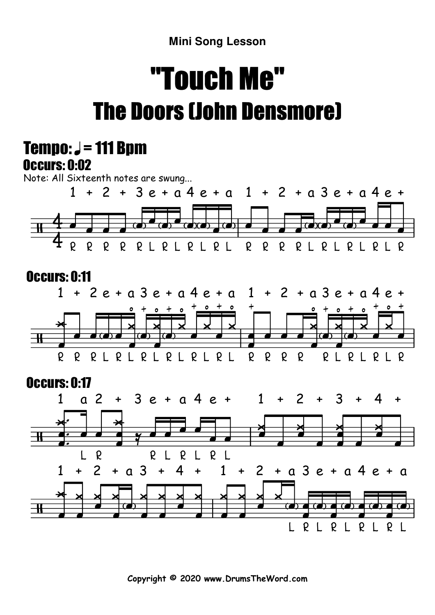**Mini Song Lesson**

## "Touch Me"The Doors (John Densmore)



**Copyright © 2020 www.DrumsTheWord.com**